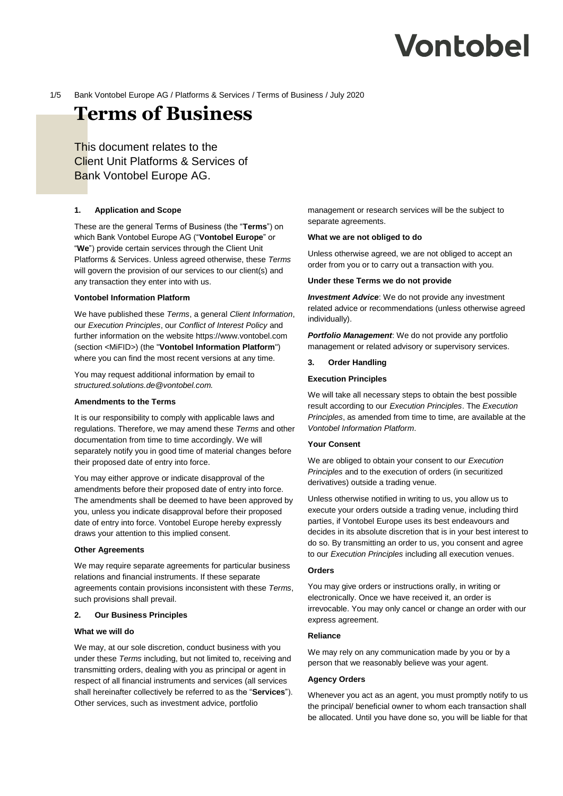# Vontobel

# **Terms of Business**

This document relates to the Client Unit Platforms & Services of Bank Vontobel Europe AG.

# **1. Application and Scope**

These are the general Terms of Business (the "**Terms**") on which Bank Vontobel Europe AG ("**Vontobel Europe**" or "**We**") provide certain services through the Client Unit Platforms & Services. Unless agreed otherwise, these *Terms* will govern the provision of our services to our client(s) and any transaction they enter into with us.

# **Vontobel Information Platform**

We have published these *Terms*, a general *Client Information*, our *Execution Principles*, our *Conflict of Interest Policy* and further information on the website [https://www.vontobel.com](https://www.vontobel.com/en-ch/rechtliche-hinweise/mifid/) (section <MiFID*>*) (the "**Vontobel Information Platform**") where you can find the most recent versions at any time.

You may request additional information by email to *structured.solutions.de@vontobel.com.*

# **Amendments to the Terms**

It is our responsibility to comply with applicable laws and regulations. Therefore, we may amend these *Terms* and other documentation from time to time accordingly. We will separately notify you in good time of material changes before their proposed date of entry into force.

You may either approve or indicate disapproval of the amendments before their proposed date of entry into force. The amendments shall be deemed to have been approved by you, unless you indicate disapproval before their proposed date of entry into force. Vontobel Europe hereby expressly draws your attention to this implied consent.

#### **Other Agreements**

We may require separate agreements for particular business relations and financial instruments. If these separate agreements contain provisions inconsistent with these *Terms*, such provisions shall prevail.

# **2. Our Business Principles**

# **What we will do**

We may, at our sole discretion, conduct business with you under these *Terms* including, but not limited to, receiving and transmitting orders, dealing with you as principal or agent in respect of all financial instruments and services (all services shall hereinafter collectively be referred to as the "**Services**"). Other services, such as investment advice, portfolio

management or research services will be the subject to separate agreements.

#### **What we are not obliged to do**

Unless otherwise agreed, we are not obliged to accept an order from you or to carry out a transaction with you.

#### **Under these Terms we do not provide**

*Investment Advice*: We do not provide any investment related advice or recommendations (unless otherwise agreed individually).

*Portfolio Management*: We do not provide any portfolio management or related advisory or supervisory services.

## **3. Order Handling**

# **Execution Principles**

We will take all necessary steps to obtain the best possible result according to our *Execution Principles*. The *Execution Principles*, as amended from time to time, are available at the *Vontobel Information Platform*.

#### **Your Consent**

We are obliged to obtain your consent to our *Execution Principles* and to the execution of orders (in securitized derivatives) outside a trading venue.

Unless otherwise notified in writing to us, you allow us to execute your orders outside a trading venue, including third parties, if Vontobel Europe uses its best endeavours and decides in its absolute discretion that is in your best interest to do so. By transmitting an order to us, you consent and agree to our *Execution Principles* including all execution venues.

#### **Orders**

You may give orders or instructions orally, in writing or electronically. Once we have received it, an order is irrevocable. You may only cancel or change an order with our express agreement.

#### **Reliance**

We may rely on any communication made by you or by a person that we reasonably believe was your agent.

# **Agency Orders**

Whenever you act as an agent, you must promptly notify to us the principal/ beneficial owner to whom each transaction shall be allocated. Until you have done so, you will be liable for that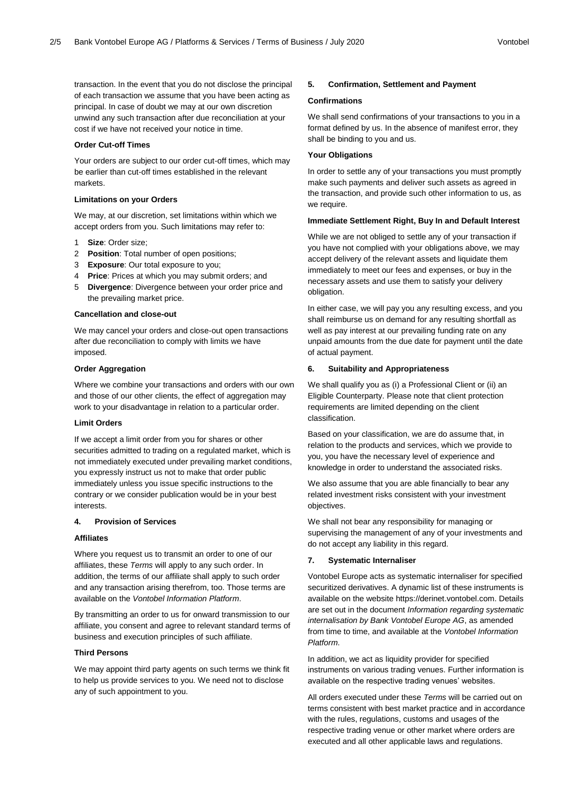transaction. In the event that you do not disclose the principal of each transaction we assume that you have been acting as principal. In case of doubt we may at our own discretion unwind any such transaction after due reconciliation at your cost if we have not received your notice in time.

#### **Order Cut-off Times**

Your orders are subject to our order cut-off times, which may be earlier than cut-off times established in the relevant markets.

#### **Limitations on your Orders**

We may, at our discretion, set limitations within which we accept orders from you. Such limitations may refer to:

- 1 **Size**: Order size;
- 2 **Position**: Total number of open positions;
- 3 **Exposure**: Our total exposure to you;
- 4 **Price**: Prices at which you may submit orders; and
- 5 **Divergence**: Divergence between your order price and the prevailing market price.

# **Cancellation and close-out**

We may cancel your orders and close-out open transactions after due reconciliation to comply with limits we have imposed.

# **Order Aggregation**

Where we combine your transactions and orders with our own and those of our other clients, the effect of aggregation may work to your disadvantage in relation to a particular order.

#### **Limit Orders**

If we accept a limit order from you for shares or other securities admitted to trading on a regulated market, which is not immediately executed under prevailing market conditions, you expressly instruct us not to make that order public immediately unless you issue specific instructions to the contrary or we consider publication would be in your best interests.

# **4. Provision of Services**

# **Affiliates**

Where you request us to transmit an order to one of our affiliates, these *Terms* will apply to any such order. In addition, the terms of our affiliate shall apply to such order and any transaction arising therefrom, too. Those terms are available on the *Vontobel Information Platform*.

By transmitting an order to us for onward transmission to our affiliate, you consent and agree to relevant standard terms of business and execution principles of such affiliate.

#### **Third Persons**

We may appoint third party agents on such terms we think fit to help us provide services to you. We need not to disclose any of such appointment to you.

#### **5. Confirmation, Settlement and Payment**

#### **Confirmations**

We shall send confirmations of your transactions to you in a format defined by us. In the absence of manifest error, they shall be binding to you and us.

# **Your Obligations**

In order to settle any of your transactions you must promptly make such payments and deliver such assets as agreed in the transaction, and provide such other information to us, as we require.

# **Immediate Settlement Right, Buy In and Default Interest**

While we are not obliged to settle any of your transaction if you have not complied with your obligations above, we may accept delivery of the relevant assets and liquidate them immediately to meet our fees and expenses, or buy in the necessary assets and use them to satisfy your delivery obligation.

In either case, we will pay you any resulting excess, and you shall reimburse us on demand for any resulting shortfall as well as pay interest at our prevailing funding rate on any unpaid amounts from the due date for payment until the date of actual payment.

# **6. Suitability and Appropriateness**

We shall qualify you as (i) a Professional Client or (ii) an Eligible Counterparty. Please note that client protection requirements are limited depending on the client classification.

Based on your classification, we are do assume that, in relation to the products and services, which we provide to you, you have the necessary level of experience and knowledge in order to understand the associated risks.

We also assume that you are able financially to bear any related investment risks consistent with your investment objectives.

We shall not bear any responsibility for managing or supervising the management of any of your investments and do not accept any liability in this regard.

# **7. Systematic Internaliser**

Vontobel Europe acts as systematic internaliser for specified securitized derivatives. A dynamic list of these instruments is available on the website https://derinet.vontobel.com. Details are set out in the document *Information regarding systematic internalisation by Bank Vontobel Europe AG*, as amended from time to time, and available at the *Vontobel Information Platform*.

In addition, we act as liquidity provider for specified instruments on various trading venues. Further information is available on the respective trading venues' websites.

All orders executed under these *Terms* will be carried out on terms consistent with best market practice and in accordance with the rules, regulations, customs and usages of the respective trading venue or other market where orders are executed and all other applicable laws and regulations.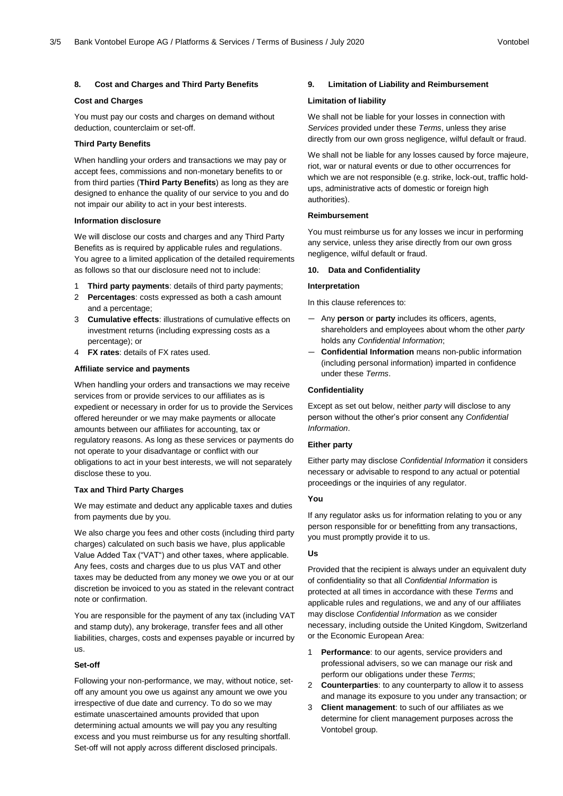# **8. Cost and Charges and Third Party Benefits**

# **Cost and Charges**

You must pay our costs and charges on demand without deduction, counterclaim or set-off.

# **Third Party Benefits**

When handling your orders and transactions we may pay or accept fees, commissions and non-monetary benefits to or from third parties (**Third Party Benefits**) as long as they are designed to enhance the quality of our service to you and do not impair our ability to act in your best interests.

#### **Information disclosure**

We will disclose our costs and charges and any Third Party Benefits as is required by applicable rules and regulations. You agree to a limited application of the detailed requirements as follows so that our disclosure need not to include:

- **Third party payments: details of third party payments;**
- 2 **Percentages**: costs expressed as both a cash amount and a percentage;
- 3 **Cumulative effects**: illustrations of cumulative effects on investment returns (including expressing costs as a percentage); or
- 4 **FX rates**: details of FX rates used.

# **Affiliate service and payments**

When handling your orders and transactions we may receive services from or provide services to our affiliates as is expedient or necessary in order for us to provide the Services offered hereunder or we may make payments or allocate amounts between our affiliates for accounting, tax or regulatory reasons. As long as these services or payments do not operate to your disadvantage or conflict with our obligations to act in your best interests, we will not separately disclose these to you.

# **Tax and Third Party Charges**

We may estimate and deduct any applicable taxes and duties from payments due by you.

We also charge you fees and other costs (including third party charges) calculated on such basis we have, plus applicable Value Added Tax ("VAT") and other taxes, where applicable. Any fees, costs and charges due to us plus VAT and other taxes may be deducted from any money we owe you or at our discretion be invoiced to you as stated in the relevant contract note or confirmation.

You are responsible for the payment of any tax (including VAT and stamp duty), any brokerage, transfer fees and all other liabilities, charges, costs and expenses payable or incurred by us.

#### **Set-off**

Following your non-performance, we may, without notice, setoff any amount you owe us against any amount we owe you irrespective of due date and currency. To do so we may estimate unascertained amounts provided that upon determining actual amounts we will pay you any resulting excess and you must reimburse us for any resulting shortfall. Set-off will not apply across different disclosed principals.

#### **9. Limitation of Liability and Reimbursement**

# **Limitation of liability**

We shall not be liable for your losses in connection with *Services* provided under these *Terms*, unless they arise directly from our own gross negligence, wilful default or fraud.

We shall not be liable for any losses caused by force majeure, riot, war or natural events or due to other occurrences for which we are not responsible (e.g. strike, lock-out, traffic holdups, administrative acts of domestic or foreign high authorities).

# **Reimbursement**

You must reimburse us for any losses we incur in performing any service, unless they arise directly from our own gross negligence, wilful default or fraud.

#### **10. Data and Confidentiality**

# **Interpretation**

In this clause references to:

- Any **person** or **party** includes its officers, agents, shareholders and employees about whom the other *party* holds any *Confidential Information*;
- **Confidential Information** means non-public information (including personal information) imparted in confidence under these *Terms*.

# **Confidentiality**

Except as set out below, neither *party* will disclose to any person without the other's prior consent any *Confidential Information*.

#### **Either party**

Either party may disclose *Confidential Information* it considers necessary or advisable to respond to any actual or potential proceedings or the inquiries of any regulator.

# **You**

If any regulator asks us for information relating to you or any person responsible for or benefitting from any transactions, you must promptly provide it to us.

#### **Us**

Provided that the recipient is always under an equivalent duty of confidentiality so that all *Confidential Information* is protected at all times in accordance with these *Terms* and applicable rules and regulations, we and any of our affiliates may disclose *Confidential Information* as we consider necessary, including outside the United Kingdom, Switzerland or the Economic European Area:

- 1 **Performance**: to our agents, service providers and professional advisers, so we can manage our risk and perform our obligations under these *Terms*;
- 2 **Counterparties**: to any counterparty to allow it to assess and manage its exposure to you under any transaction; or
- 3 **Client management**: to such of our affiliates as we determine for client management purposes across the Vontobel group.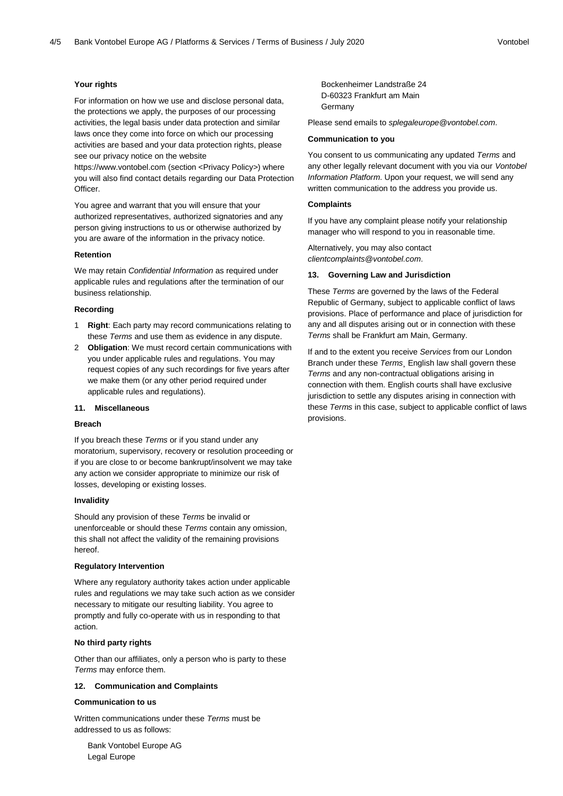#### **Your rights**

For information on how we use and disclose personal data, the protections we apply, the purposes of our processing activities, the legal basis under data protection and similar laws once they come into force on which our processing activities are based and your data protection rights, please see our privacy notice on the website

https://www.vontobel.com (section <Privacy Policy*>*) where you will also find contact details regarding our Data Protection **Officer** 

You agree and warrant that you will ensure that your authorized representatives, authorized signatories and any person giving instructions to us or otherwise authorized by you are aware of the information in the privacy notice.

#### **Retention**

We may retain *Confidential Information* as required under applicable rules and regulations after the termination of our business relationship.

# **Recording**

- 1 **Right**: Each party may record communications relating to these *Terms* and use them as evidence in any dispute.
- 2 **Obligation**: We must record certain communications with you under applicable rules and regulations. You may request copies of any such recordings for five years after we make them (or any other period required under applicable rules and regulations).

# **11. Miscellaneous**

#### **Breach**

If you breach these *Terms* or if you stand under any moratorium, supervisory, recovery or resolution proceeding or if you are close to or become bankrupt/insolvent we may take any action we consider appropriate to minimize our risk of losses, developing or existing losses.

# **Invalidity**

Should any provision of these *Terms* be invalid or unenforceable or should these *Terms* contain any omission, this shall not affect the validity of the remaining provisions hereof.

# **Regulatory Intervention**

Where any regulatory authority takes action under applicable rules and regulations we may take such action as we consider necessary to mitigate our resulting liability. You agree to promptly and fully co-operate with us in responding to that action.

# **No third party rights**

Other than our affiliates, only a person who is party to these *Terms* may enforce them.

# **12. Communication and Complaints**

#### **Communication to us**

Written communications under these *Terms* must be addressed to us as follows:

Bank Vontobel Europe AG Legal Europe

Bockenheimer Landstraße 24 D-60323 Frankfurt am Main Germany

Please send emails to *splegaleurope@vontobel.com*.

#### **Communication to you**

You consent to us communicating any updated *Terms* and any other legally relevant document with you via our *Vontobel Information Platform*. Upon your request, we will send any written communication to the address you provide us.

# **Complaints**

If you have any complaint please notify your relationship manager who will respond to you in reasonable time.

Alternatively, you may also contact *clientcomplaints@vontobel.com*.

#### **13. Governing Law and Jurisdiction**

These *Terms* are governed by the laws of the Federal Republic of Germany, subject to applicable conflict of laws provisions. Place of performance and place of jurisdiction for any and all disputes arising out or in connection with these *Terms* shall be Frankfurt am Main, Germany.

If and to the extent you receive *Services* from our London Branch under these *Terms*¸ English law shall govern these *Terms* and any non-contractual obligations arising in connection with them. English courts shall have exclusive jurisdiction to settle any disputes arising in connection with these *Terms* in this case, subject to applicable conflict of laws provisions.